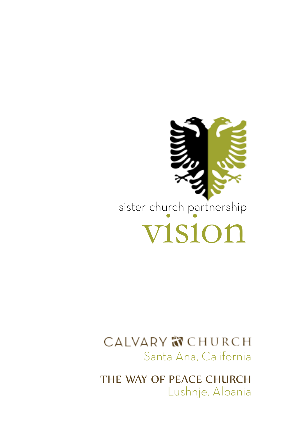

### CALVARY **N** CHURCH Santa Ana, California

Lushnje, Albania THE WAY OF PEACE CHURCH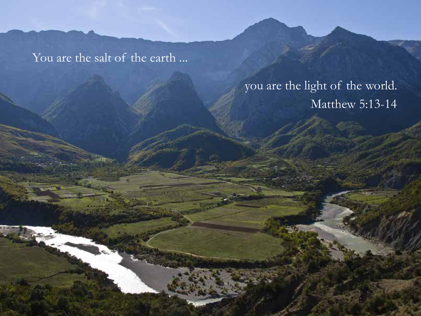You are the salt of the earth ...

### you are the light of the world. Matthew 5:13-14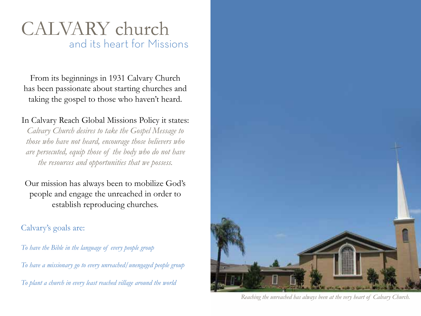### and its heart for Missions CALVARY church

From its beginnings in 1931 Calvary Church has been passionate about starting churches and taking the gospel to those who haven't heard.

#### In Calvary Reach Global Missions Policy it states:

*Calvary Church desires to take the Gospel Message to those who have not heard, encourage those believers who are persecuted, equip those of the body who do not have the resources and opportunities that we possess.* 

Our mission has always been to mobilize God's people and engage the unreached in order to establish reproducing churches.

#### Calvary's goals are:

*To have the Bible in the language of every people group To have a missionary go to every unreached/unengaged people group To plant a church in every least reached village around the world*



*Reaching the unreached has always been at the very heart of Calvary Church.*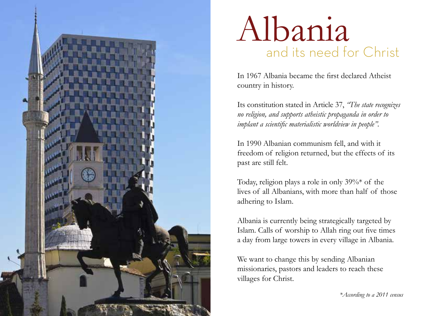

## and its need for Christ Albania

In 1967 Albania became the first declared Atheist country in history.

Its constitution stated in Article 37, *"The state recognizes no religion, and supports atheistic propaganda in order to implant a scientific materialistic worldview in people".* 

In 1990 Albanian communism fell, and with it freedom of religion returned, but the effects of its past are still felt.

Today, religion plays a role in only 39%\* of the lives of all Albanians, with more than half of those adhering to Islam.

Albania is currently being strategically targeted by Islam. Calls of worship to Allah ring out five times a day from large towers in every village in Albania.

We want to change this by sending Albanian missionaries, pastors and leaders to reach these villages for Christ.

*\*According to a 2011 census*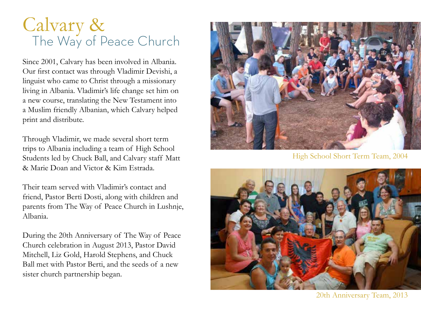## The Way of Peace Church Calvary &

Since 2001, Calvary has been involved in Albania. Our first contact was through Vladimir Devishi, a linguist who came to Christ through a missionary living in Albania. Vladimir's life change set him on a new course, translating the New Testament into a Muslim friendly Albanian, which Calvary helped print and distribute.

Through Vladimir, we made several short term trips to Albania including a team of High School Students led by Chuck Ball, and Calvary staff Matt & Marie Doan and Victor & Kim Estrada.

Their team served with Vladimir's contact and friend, Pastor Berti Dosti, along with children and parents from The Way of Peace Church in Lushnje, Albania.

During the 20th Anniversary of The Way of Peace Church celebration in August 2013, Pastor David Mitchell, Liz Gold, Harold Stephens, and Chuck Ball met with Pastor Berti, and the seeds of a new sister church partnership began.



High School Short Term Team, 2004



20th Anniversary Team, 2013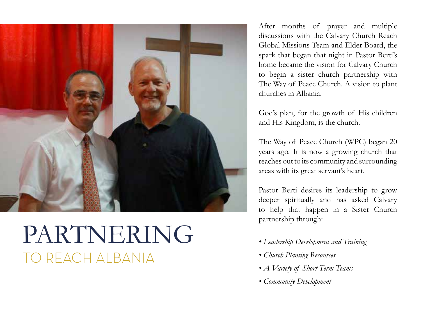

## PARTNERING TO REACH ALBANIA

After months of prayer and multiple discussions with the Calvary Church Reach Global Missions Team and Elder Board, the spark that began that night in Pastor Berti's home became the vision for Calvary Church to begin a sister church partnership with The Way of Peace Church. A vision to plant churches in Albania.

God's plan, for the growth of His children and His Kingdom, is the church.

The Way of Peace Church (WPC) began 20 years ago. It is now a growing church that reaches out to its community and surrounding areas with its great servant's heart.

Pastor Berti desires its leadership to grow deeper spiritually and has asked Calvary to help that happen in a Sister Church partnership through:

- *Leadership Development and Training*
- *Church Planting Resources*
- *A Variety of Short Term Teams*
- *Community Development*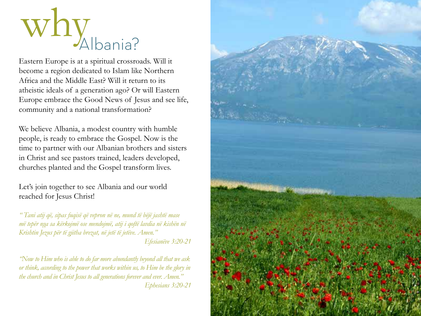

Eastern Europe is at a spiritual crossroads. Will it become a region dedicated to Islam like Northern Africa and the Middle East? Will it return to its atheistic ideals of a generation ago? Or will Eastern Europe embrace the Good News of Jesus and see life, community and a national transformation?

We believe Albania, a modest country with humble people, is ready to embrace the Gospel. Now is the time to partner with our Albanian brothers and sisters in Christ and see pastors trained, leaders developed, churches planted and the Gospel transform lives.

Let's join together to see Albania and our world reached for Jesus Christ!

*" Tani atij që, sipas fuqisë që vepron në ne, mund të bëjë jashtë mase më tepër nga sa kërkojmë ose mendojmë, atij i qoftë lavdia në kishën në Krishtin Jezus për të gjitha brezat, në jetë të jetëve. Amen." Efesianëve 3:20-21*

*"Now to Him who is able to do far more abundantly beyond all that we ask or think, according to the power that works within us, to Him be the glory in the church and in Christ Jesus to all generations forever and ever. Amen." Ephesians 3:20-21*

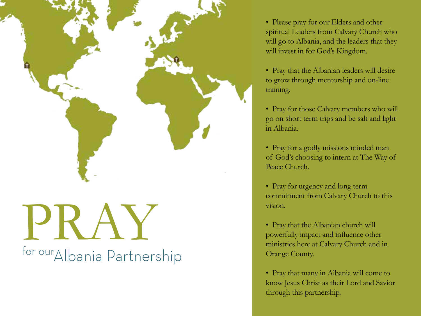

# PRAY for ourAlbania Partnership

• Please pray for our Elders and other spiritual Leaders from Calvary Church who will go to Albania, and the leaders that they will invest in for God's Kingdom.

• Pray that the Albanian leaders will desire to grow through mentorship and on-line training.

• Pray for those Calvary members who will go on short term trips and be salt and light in Albania.

• Pray for a godly missions minded man of God's choosing to intern at The Way of Peace Church.

• Pray for urgency and long term commitment from Calvary Church to this vision.

• Pray that the Albanian church will powerfully impact and influence other ministries here at Calvary Church and in Orange County.

• Pray that many in Albania will come to know Jesus Christ as their Lord and Savior through this partnership.